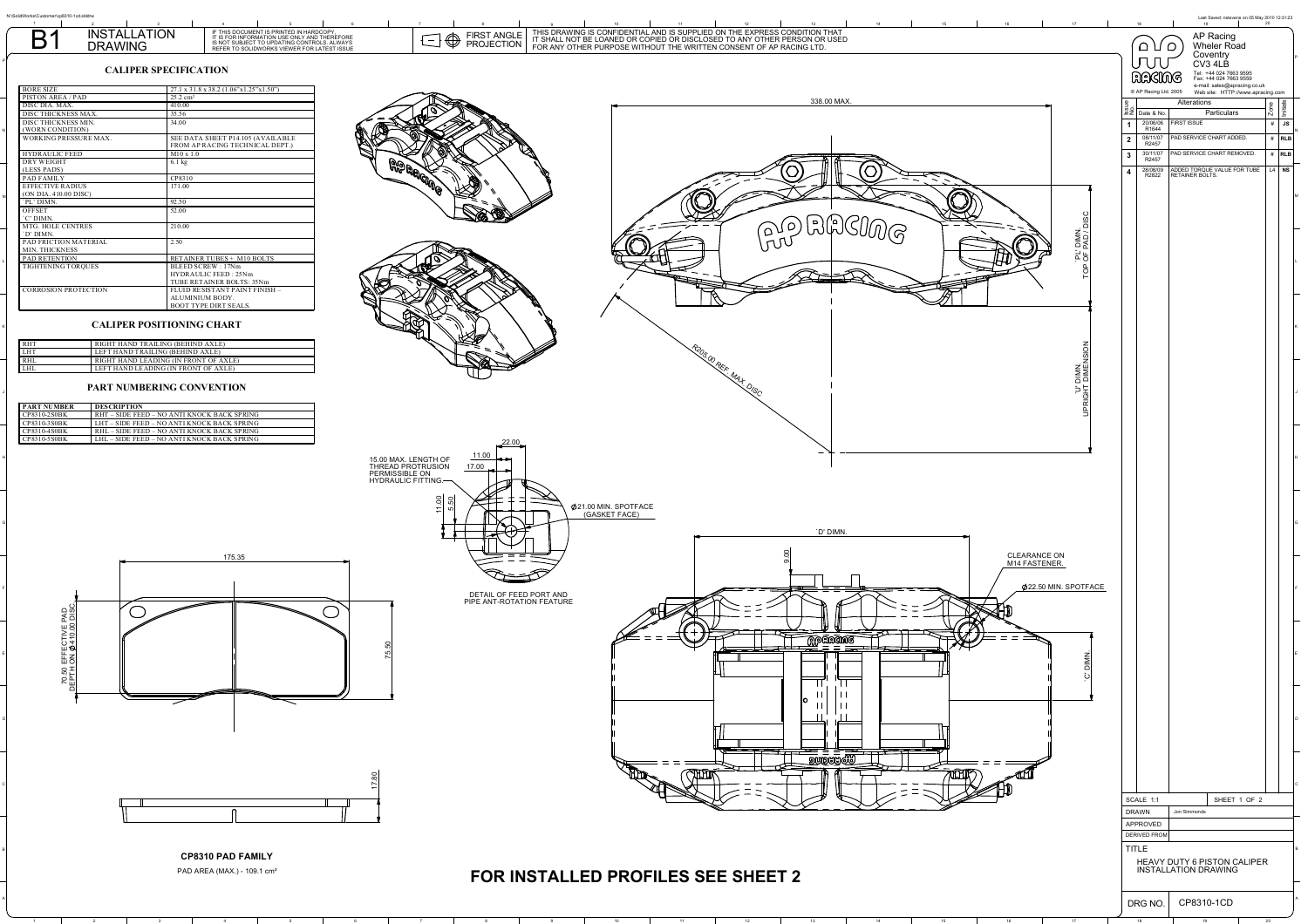